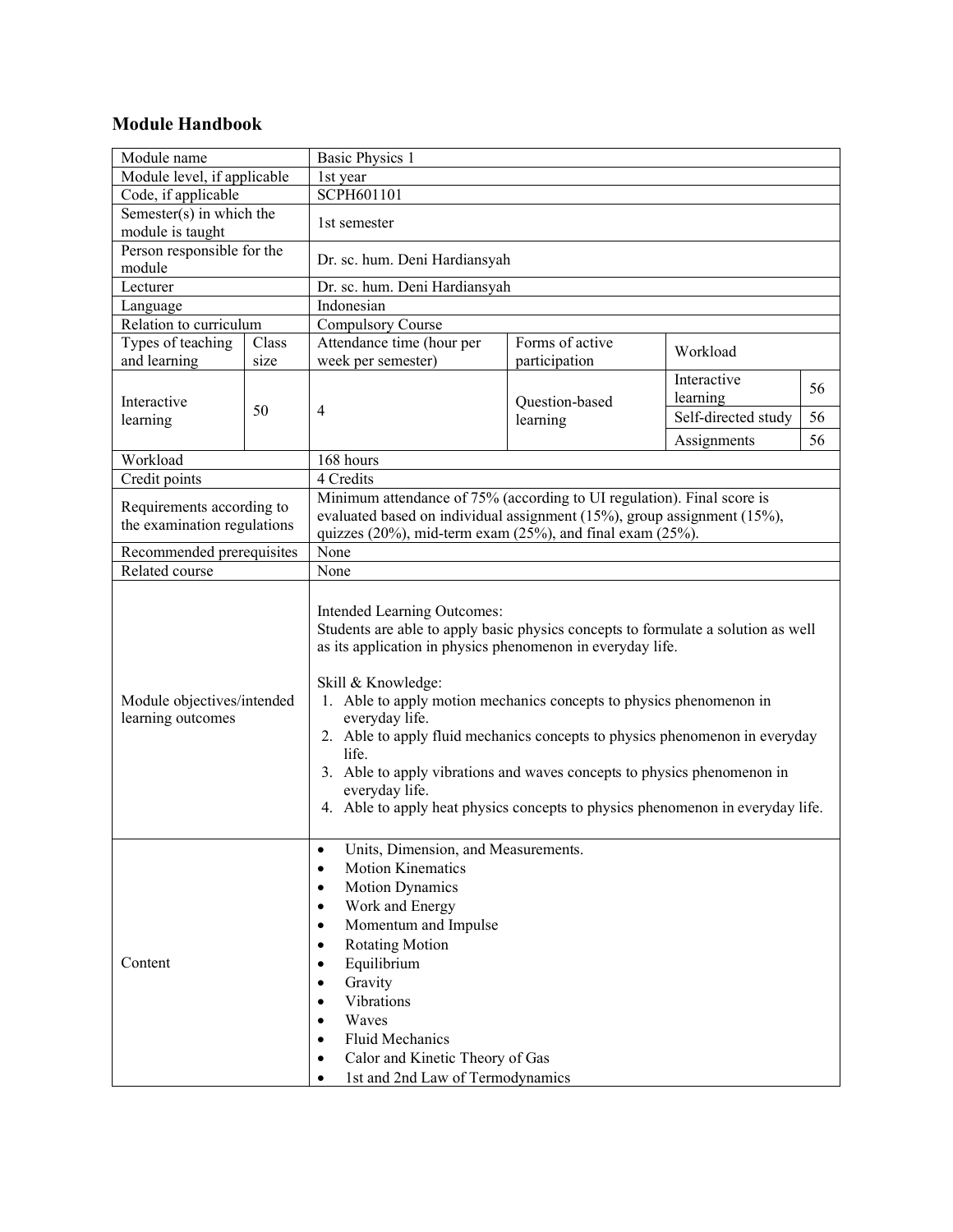## **Module Handbook**

| Module name                                     |      | <b>Basic Physics 1</b>                                                                                                                                                                                                                                                                                                                                                                                                                                                                                                                                               |                            |                         |    |  |
|-------------------------------------------------|------|----------------------------------------------------------------------------------------------------------------------------------------------------------------------------------------------------------------------------------------------------------------------------------------------------------------------------------------------------------------------------------------------------------------------------------------------------------------------------------------------------------------------------------------------------------------------|----------------------------|-------------------------|----|--|
| Module level, if applicable                     |      | 1st year                                                                                                                                                                                                                                                                                                                                                                                                                                                                                                                                                             |                            |                         |    |  |
| Code, if applicable                             |      | SCPH601101                                                                                                                                                                                                                                                                                                                                                                                                                                                                                                                                                           |                            |                         |    |  |
| Semester(s) in which the                        |      | 1st semester                                                                                                                                                                                                                                                                                                                                                                                                                                                                                                                                                         |                            |                         |    |  |
| module is taught                                |      |                                                                                                                                                                                                                                                                                                                                                                                                                                                                                                                                                                      |                            |                         |    |  |
| Person responsible for the<br>module            |      | Dr. sc. hum. Deni Hardiansyah                                                                                                                                                                                                                                                                                                                                                                                                                                                                                                                                        |                            |                         |    |  |
| Lecturer                                        |      | Dr. sc. hum. Deni Hardiansyah                                                                                                                                                                                                                                                                                                                                                                                                                                                                                                                                        |                            |                         |    |  |
| Language                                        |      | Indonesian                                                                                                                                                                                                                                                                                                                                                                                                                                                                                                                                                           |                            |                         |    |  |
| Relation to curriculum                          |      | <b>Compulsory Course</b>                                                                                                                                                                                                                                                                                                                                                                                                                                                                                                                                             |                            |                         |    |  |
| Types of teaching<br>Class                      |      | Attendance time (hour per<br>Forms of active                                                                                                                                                                                                                                                                                                                                                                                                                                                                                                                         |                            |                         |    |  |
| and learning                                    | size | week per semester)                                                                                                                                                                                                                                                                                                                                                                                                                                                                                                                                                   | participation              | Workload                |    |  |
| Interactive<br>learning                         | 50   | 4                                                                                                                                                                                                                                                                                                                                                                                                                                                                                                                                                                    | Question-based<br>learning | Interactive<br>learning | 56 |  |
|                                                 |      |                                                                                                                                                                                                                                                                                                                                                                                                                                                                                                                                                                      |                            | Self-directed study     | 56 |  |
|                                                 |      |                                                                                                                                                                                                                                                                                                                                                                                                                                                                                                                                                                      |                            | Assignments             | 56 |  |
| Workload                                        |      | 168 hours                                                                                                                                                                                                                                                                                                                                                                                                                                                                                                                                                            |                            |                         |    |  |
| Credit points                                   |      | 4 Credits                                                                                                                                                                                                                                                                                                                                                                                                                                                                                                                                                            |                            |                         |    |  |
|                                                 |      | Minimum attendance of 75% (according to UI regulation). Final score is                                                                                                                                                                                                                                                                                                                                                                                                                                                                                               |                            |                         |    |  |
| Requirements according to                       |      | evaluated based on individual assignment (15%), group assignment (15%),                                                                                                                                                                                                                                                                                                                                                                                                                                                                                              |                            |                         |    |  |
| the examination regulations                     |      | quizzes $(20\%)$ , mid-term exam $(25\%)$ , and final exam $(25\%)$ .                                                                                                                                                                                                                                                                                                                                                                                                                                                                                                |                            |                         |    |  |
| Recommended prerequisites                       |      | None                                                                                                                                                                                                                                                                                                                                                                                                                                                                                                                                                                 |                            |                         |    |  |
| Related course                                  |      | None                                                                                                                                                                                                                                                                                                                                                                                                                                                                                                                                                                 |                            |                         |    |  |
| Module objectives/intended<br>learning outcomes |      | Intended Learning Outcomes:<br>Students are able to apply basic physics concepts to formulate a solution as well<br>as its application in physics phenomenon in everyday life.<br>Skill & Knowledge:<br>1. Able to apply motion mechanics concepts to physics phenomenon in<br>everyday life.<br>2. Able to apply fluid mechanics concepts to physics phenomenon in everyday<br>life.<br>3. Able to apply vibrations and waves concepts to physics phenomenon in<br>everyday life.<br>4. Able to apply heat physics concepts to physics phenomenon in everyday life. |                            |                         |    |  |
| Content                                         |      | Units, Dimension, and Measurements.<br>٠<br><b>Motion Kinematics</b><br>$\bullet$<br><b>Motion Dynamics</b><br>$\bullet$<br>Work and Energy<br>$\bullet$<br>Momentum and Impulse<br>$\bullet$<br><b>Rotating Motion</b><br>$\bullet$<br>Equilibrium<br>$\bullet$<br>Gravity<br>$\bullet$<br>Vibrations<br>$\bullet$<br>Waves<br>$\bullet$<br><b>Fluid Mechanics</b><br>$\bullet$<br>Calor and Kinetic Theory of Gas<br>$\bullet$<br>1st and 2nd Law of Termodynamics<br>$\bullet$                                                                                    |                            |                         |    |  |